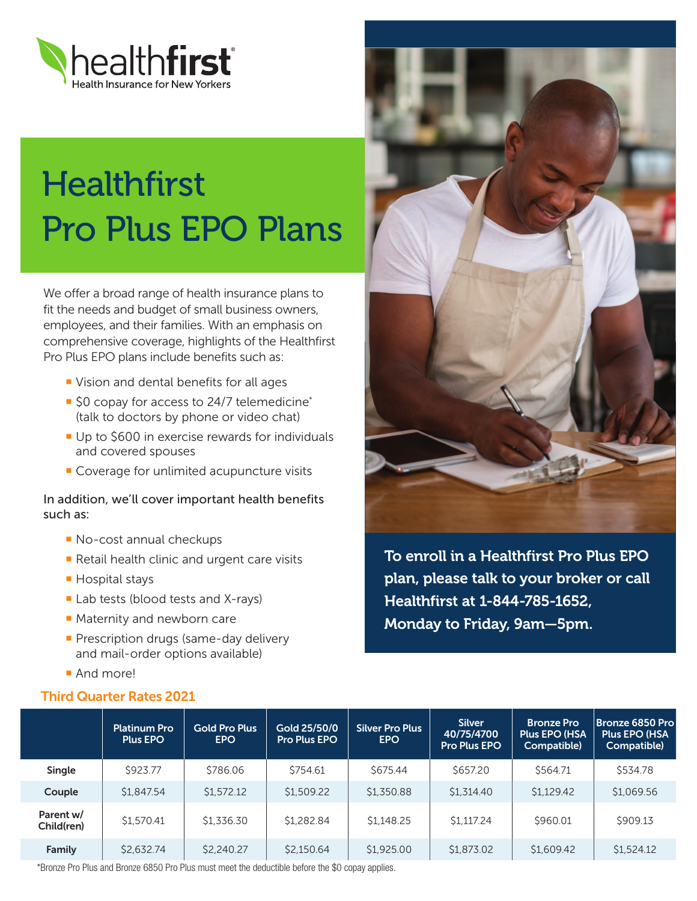

## **Healthfirst** Pro Plus EPO Plans

We offer a broad range of health insurance plans to fit the needs and budget of small business owners, employees, and their families. With an emphasis on comprehensive coverage, highlights of the Healthfirst Pro Plus EPO plans include benefits such as:

- ¡ Vision and dental benefits for all ages
- \$0 copay for access to 24/7 telemedicine<sup>\*</sup> (talk to doctors by phone or video chat)
- Up to \$600 in exercise rewards for individuals and covered spouses
- Coverage for unlimited acupuncture visits

In addition, we'll cover important health benefits such as:

- ¡ No-cost annual checkups
- Retail health clinic and urgent care visits
- Hospital stays
- Lab tests (blood tests and X-rays)
- Maternity and newborn care
- **Prescription drugs (same-day delivery** and mail-order options available)
- **And morel**

## Third Quarter Rates 2021



To enroll in a Healthfirst Pro Plus EPO plan, please talk to your broker or call Healthfirst at 1-844-785-1652, Monday to Friday, 9am—5pm.

|                         | <b>Platinum Pro</b><br><b>Plus EPO</b> | <b>Gold Pro Plus</b><br><b>EPO</b> | Gold 25/50/0<br><b>Pro Plus EPO</b> | <b>Silver Pro Plus</b><br>EPO | <b>Silver</b><br>40/75/4700<br><b>Pro Plus EPO</b> | <b>Bronze Pro</b><br><b>Plus EPO (HSA)</b><br>Compatible) | <b>Bronze 6850 Pro</b><br><b>Plus EPO (HSA)</b><br>Compatible) |
|-------------------------|----------------------------------------|------------------------------------|-------------------------------------|-------------------------------|----------------------------------------------------|-----------------------------------------------------------|----------------------------------------------------------------|
| Single                  | \$923.77                               | \$786.06                           | \$754.61                            | \$675.44                      | \$657.20                                           | \$564.71                                                  | \$534.78                                                       |
| Couple                  | \$1,847.54                             | \$1,572.12                         | \$1,509.22                          | \$1,350.88                    | \$1,314.40                                         | \$1,129.42                                                | \$1,069.56                                                     |
| Parent w/<br>Child(ren) | \$1,570.41                             | \$1,336.30                         | \$1,282.84                          | \$1.148.25                    | \$1.117.24                                         | \$960.01                                                  | \$909.13                                                       |
| Family                  | \$2,632.74                             | \$2,240.27                         | \$2,150.64                          | \$1,925.00                    | \$1,873.02                                         | \$1,609.42                                                | \$1,524.12                                                     |

\*Bronze Pro Plus and Bronze 6850 Pro Plus must meet the deductible before the \$0 copay applies.